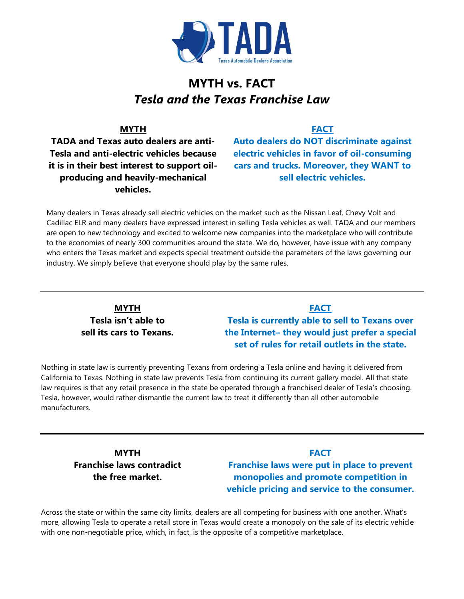

# **MYTH vs. FACT** *Tesla and the Texas Franchise Law*

#### **MYTH**

**TADA and Texas auto dealers are anti-Tesla and anti-electric vehicles because it is in their best interest to support oilproducing and heavily-mechanical vehicles.**

## **FACT**

**Auto dealers do NOT discriminate against electric vehicles in favor of oil-consuming cars and trucks. Moreover, they WANT to sell electric vehicles.**

Many dealers in Texas already sell electric vehicles on the market such as the Nissan Leaf, Chevy Volt and Cadillac ELR and many dealers have expressed interest in selling Tesla vehicles as well. TADA and our members are open to new technology and excited to welcome new companies into the marketplace who will contribute to the economies of nearly 300 communities around the state. We do, however, have issue with any company who enters the Texas market and expects special treatment outside the parameters of the laws governing our industry. We simply believe that everyone should play by the same rules.

### **MYTH Tesla isn't able to sell its cars to Texans.**

## **FACT Tesla is currently able to sell to Texans over the Internet– they would just prefer a special set of rules for retail outlets in the state.**

Nothing in state law is currently preventing Texans from ordering a Tesla online and having it delivered from California to Texas. Nothing in state law prevents Tesla from continuing its current gallery model. All that state law requires is that any retail presence in the state be operated through a franchised dealer of Tesla's choosing. Tesla, however, would rather dismantle the current law to treat it differently than all other automobile manufacturers.

**MYTH Franchise laws contradict the free market.**

## **FACT Franchise laws were put in place to prevent monopolies and promote competition in vehicle pricing and service to the consumer.**

Across the state or within the same city limits, dealers are all competing for business with one another. What's more, allowing Tesla to operate a retail store in Texas would create a monopoly on the sale of its electric vehicle with one non-negotiable price, which, in fact, is the opposite of a competitive marketplace.